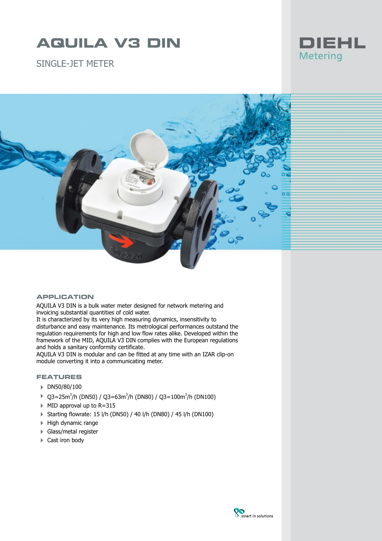# **AQUILA V3 DIN**

SINGLE-JFT METER





### **APPLICATION**

AQUILA V3 DIN is a bulk water meter designed for network metering and invoicing substantial quantities of cold water.

It is characterized by its very high measuring dynamics, insensitivity to disturbance and easy maintenance. Its metrological performances outstand the regulation requirements for high and low flow rates alike. Developed within the framework of the MID, AQUILA V3 DIN complies with the European regulations and holds a sanitary conformity certificate.

AQUILA V3 DIN is modular and can be fitted at any time with an IZAR clip-on module converting it into a communicating meter.

#### **FEATURES**

- 4 DN50/80/100
- $\rightarrow$  Q3=25m<sup>3</sup>/h (DN50) / Q3=63m<sup>3</sup>/h (DN80) / Q3=100m<sup>3</sup>/h (DN100)
- $\blacktriangleright$  MID approval up to R=315
- 4 Starting flowrate: 15 l/h (DN50) / 40 l/h (DN80) / 45 l/h (DN100)
- 4 High dynamic range
- 4 Glass/metal register
- ▶ Cast iron body

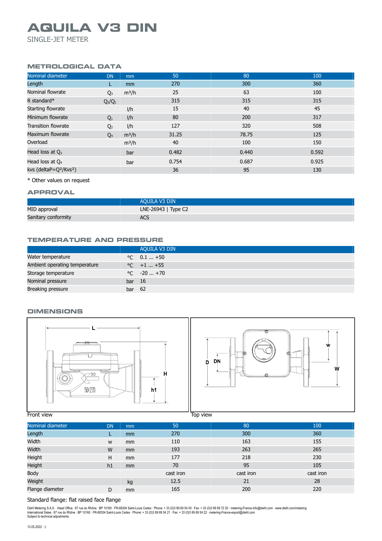## **AQUILA V3 DIN**

SINGLE-JET METER

#### **METROLOGICAL DATA**

| Nominal diameter                               | <b>DN</b>      | mm      | 50    | 80    | 100   |
|------------------------------------------------|----------------|---------|-------|-------|-------|
| Length                                         | L.             | mm      | 270   | 300   | 360   |
| Nominal flowrate                               | $Q_3$          | $m^3/h$ | 25    | 63    | 100   |
| R standard $*$                                 | $Q_3/Q_1$      |         | 315   | 315   | 315   |
| Starting flowrate                              |                | I/h     | 15    | 40    | 45    |
| Minimum flowrate                               | $Q_1$          | I/h     | 80    | 200   | 317   |
| <b>Transition flowrate</b>                     | Q <sub>2</sub> | I/h     | 127   | 320   | 508   |
| Maximum flowrate                               | $Q_4$          | $m^3/h$ | 31.25 | 78.75 | 125   |
| Overload                                       |                | $m^3/h$ | 40    | 100   | 150   |
| Head loss at $Q_3$                             |                | bar     | 0.482 | 0.440 | 0.592 |
| Head loss at $Q_4$                             |                | bar     | 0.754 | 0.687 | 0.925 |
| kvs (deltaP=Q <sup>2</sup> /Kvs <sup>2</sup> ) |                |         | 36    | 95    | 130   |
|                                                |                |         |       |       |       |

\* Other values on request

#### **APPROVAL**

|                     | AQUILA V3 DIN       |
|---------------------|---------------------|
| MID approval        | LNE-26943   Type C2 |
| Sanitary conformity | <b>ACS</b>          |

#### **TEMPERATURE AND PRESSURE**

|                               |        | AQUILA V3 DIN        |
|-------------------------------|--------|----------------------|
| Water temperature             |        | $\degree$ C 0.1  +50 |
| Ambient operating temperature |        | $\degree$ C +1  +55  |
| Storage temperature           |        | $\degree$ C $-20+70$ |
| Nominal pressure              | bar 16 |                      |
| Breaking pressure             | bar 62 |                      |

#### **DIMENSIONS**





**Front view Top view Top view Top view Top view** 

| Nominal diameter | <b>DN</b> | mm            | 50        | 80        | 100       |
|------------------|-----------|---------------|-----------|-----------|-----------|
| Length           |           | <sub>mm</sub> | 270       | 300       | 360       |
| Width            | W         | <sub>mm</sub> | 110       | 163       | 155       |
| Width            | W         | mm            | 193       | 263       | 265       |
| Height           | H         | mm            | 177       | 218       | 230       |
| Height           | h1        | mm            | 70        | 95        | 105       |
| Body             |           |               | cast iron | cast iron | cast iron |
| Weight           |           | kg            | 12.5      | 21        | 28        |
| Flange diameter  | D         | mm            | 165       | 200       | 220       |
|                  |           |               |           |           |           |

### Standard flange: flat raised face flange

Diehl Metering S.A.S. · Head Office · 67 rue du Rhône · BP 10160 · FR-68304 Saint-Louis Cedex · Phone: + 33 (0)3 89 69 54 00 · Fax: + 33 (0)3 89 69 72 20 · metering-France-info@diehl.com · www.diehl.com/metering<br>Internati